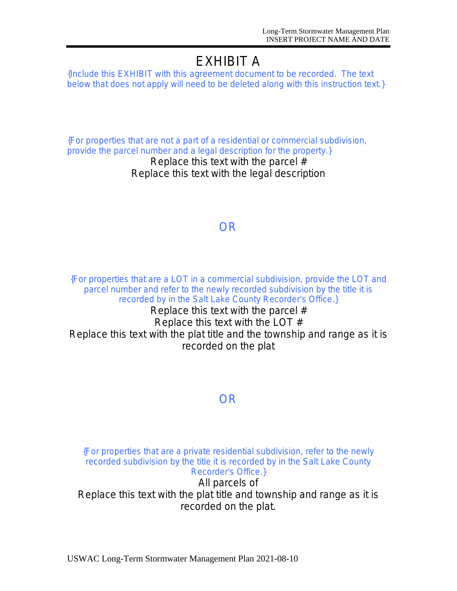# EXHIBIT A

*{Include this EXHIBIT with this agreement document to be recorded. The text below that does not apply will need to be deleted along with this instruction text.}*

*{For properties that are not a part of a residential or commercial subdivision, provide the parcel number and a legal description for the property.}*

Replace this text with the parcel # Replace this text with the legal description

## *OR*

*{For properties that are a LOT in a commercial subdivision, provide the LOT and parcel number and refer to the newly recorded subdivision by the title it is recorded by in the Salt Lake County Recorder*'*s Office.}*

Replace this text with the parcel # Replace this text with the LOT # Replace this text with the plat title and the township and range as it is recorded on the plat

## *OR*

*{For properties that are a private residential subdivision, refer to the newly recorded subdivision by the title it is recorded by in the Salt Lake County Recorder*'*s Office.}*

All parcels of Replace this text with the plat title and township and range as it is recorded on the plat.

USWAC Long-Term Stormwater Management Plan 2021-08-10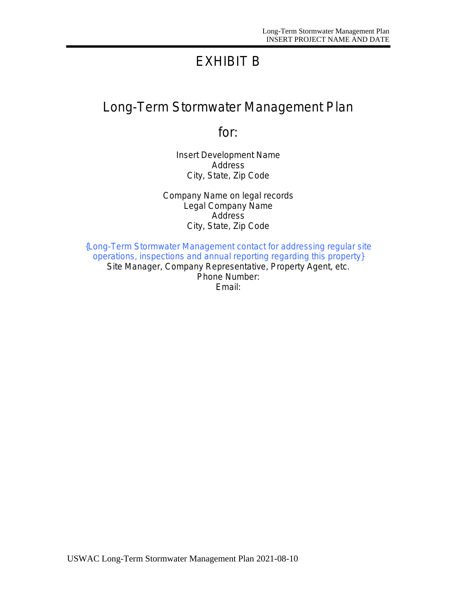# EXHIBIT B

# Long-Term Stormwater Management Plan

for:

Insert Development Name Address City, State, Zip Code

Company Name on legal records Legal Company Name **Address** City, State, Zip Code

*{Long-Term Stormwater Management contact for addressing regular site operations, inspections and annual reporting regarding this property}* Site Manager, Company Representative, Property Agent, etc. Phone Number: Email: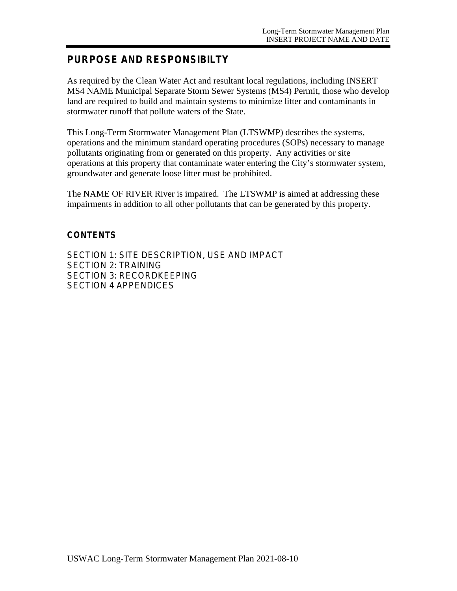## **PURPOSE AND RESPONSIBILTY**

As required by the Clean Water Act and resultant local regulations, including INSERT MS4 NAME Municipal Separate Storm Sewer Systems (MS4) Permit, those who develop land are required to build and maintain systems to minimize litter and contaminants in stormwater runoff that pollute waters of the State.

This Long-Term Stormwater Management Plan (LTSWMP) describes the systems, operations and the minimum standard operating procedures (SOPs) necessary to manage pollutants originating from or generated on this property. Any activities or site operations at this property that contaminate water entering the City's stormwater system, groundwater and generate loose litter must be prohibited.

The NAME OF RIVER River is impaired. The LTSWMP is aimed at addressing these impairments in addition to all other pollutants that can be generated by this property.

#### **CONTENTS**

SECTION 1: SITE DESCRIPTION, USE AND IMPACT SECTION 2: TRAINING SECTION 3: RECORDKEEPING SECTION 4 APPENDICES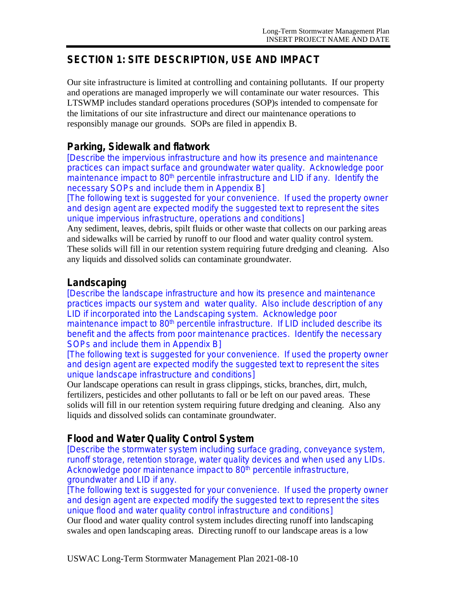## **SECTION 1: SITE DESCRIPTION, USE AND IMPACT**

Our site infrastructure is limited at controlling and containing pollutants. If our property and operations are managed improperly we will contaminate our water resources. This LTSWMP includes standard operations procedures (SOP)s intended to compensate for the limitations of our site infrastructure and direct our maintenance operations to responsibly manage our grounds. SOPs are filed in appendix B.

### **Parking, Sidewalk and flatwork**

*[Describe the impervious infrastructure and how its presence and maintenance practices can impact surface and groundwater water quality. Acknowledge poor maintenance impact to 80th percentile infrastructure and LID if any. Identify the necessary SOPs and include them in Appendix B]*

*[The following text is suggested for your convenience. If used the property owner* and design agent are expected modify the suggested text to represent the sites *unique impervious infrastructure, operations and conditions]*

Any sediment, leaves, debris, spilt fluids or other waste that collects on our parking areas and sidewalks will be carried by runoff to our flood and water quality control system. These solids will fill in our retention system requiring future dredging and cleaning. Also any liquids and dissolved solids can contaminate groundwater.

## **Landscaping**

*[Describe the landscape infrastructure and how its presence and maintenance practices impacts our system and water quality. Also include description of any LID if incorporated into the Landscaping system. Acknowledge poor maintenance impact to 80th percentile infrastructure. If LID included describe its benefit and the affects from poor maintenance practices. Identify the necessary SOPs and include them in Appendix B]*

*[The following text is suggested for your convenience. If used the property owner and design agent are expected modify the suggested text to represent the sites unique landscape infrastructure and conditions]*

Our landscape operations can result in grass clippings, sticks, branches, dirt, mulch, fertilizers, pesticides and other pollutants to fall or be left on our paved areas. These solids will fill in our retention system requiring future dredging and cleaning. Also any liquids and dissolved solids can contaminate groundwater.

## **Flood and Water Quality Control System**

*[Describe the stormwater system including surface grading, conveyance system, runoff storage, retention storage, water quality devices and when used any LIDs. Acknowledge poor maintenance impact to 80th percentile infrastructure, groundwater and LID if any.*

*[The following text is suggested for your convenience. If used the property owner* and design agent are expected modify the suggested text to represent the sites *unique flood and water quality control infrastructure and conditions]*

Our flood and water quality control system includes directing runoff into landscaping swales and open landscaping areas. Directing runoff to our landscape areas is a low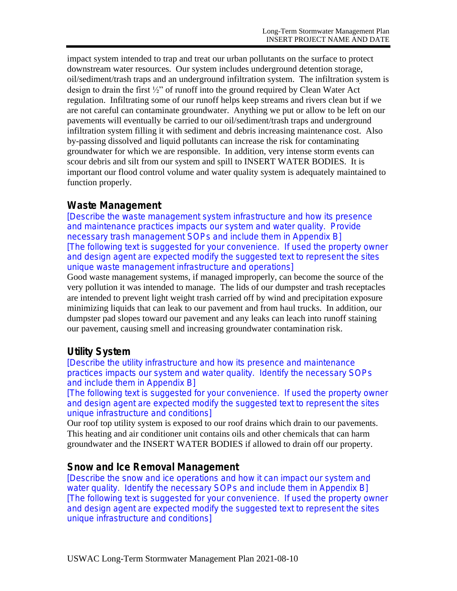impact system intended to trap and treat our urban pollutants on the surface to protect downstream water resources. Our system includes underground detention storage, oil/sediment/trash traps and an underground infiltration system. The infiltration system is design to drain the first ½" of runoff into the ground required by Clean Water Act regulation. Infiltrating some of our runoff helps keep streams and rivers clean but if we are not careful can contaminate groundwater. Anything we put or allow to be left on our pavements will eventually be carried to our oil/sediment/trash traps and underground infiltration system filling it with sediment and debris increasing maintenance cost. Also by-passing dissolved and liquid pollutants can increase the risk for contaminating groundwater for which we are responsible. In addition, very intense storm events can scour debris and silt from our system and spill to INSERT WATER BODIES. It is important our flood control volume and water quality system is adequately maintained to function properly.

## **Waste Management**

*[Describe the waste management system infrastructure and how its presence and maintenance practices impacts our system and water quality. Provide necessary trash management SOPs and include them in Appendix B] [The following text is suggested for your convenience. If used the property owner* and design agent are expected modify the suggested text to represent the sites *unique waste management infrastructure and operations]*

Good waste management systems, if managed improperly, can become the source of the very pollution it was intended to manage. The lids of our dumpster and trash receptacles are intended to prevent light weight trash carried off by wind and precipitation exposure minimizing liquids that can leak to our pavement and from haul trucks. In addition, our dumpster pad slopes toward our pavement and any leaks can leach into runoff staining our pavement, causing smell and increasing groundwater contamination risk.

## **Utility System**

*[Describe the utility infrastructure and how its presence and maintenance practices impacts our system and water quality. Identify the necessary SOPs and include them in Appendix B]*

*[The following text is suggested for your convenience. If used the property owner* and design agent are expected modify the suggested text to represent the sites *unique infrastructure and conditions]*

Our roof top utility system is exposed to our roof drains which drain to our pavements. This heating and air conditioner unit contains oils and other chemicals that can harm groundwater and the INSERT WATER BODIES if allowed to drain off our property.

## **Snow and Ice Removal Management**

*[Describe the snow and ice operations and how it can impact our system and water quality. Identify the necessary SOPs and include them in Appendix B] [The following text is suggested for your convenience. If used the property owner* and design agent are expected modify the suggested text to represent the sites *unique infrastructure and conditions]*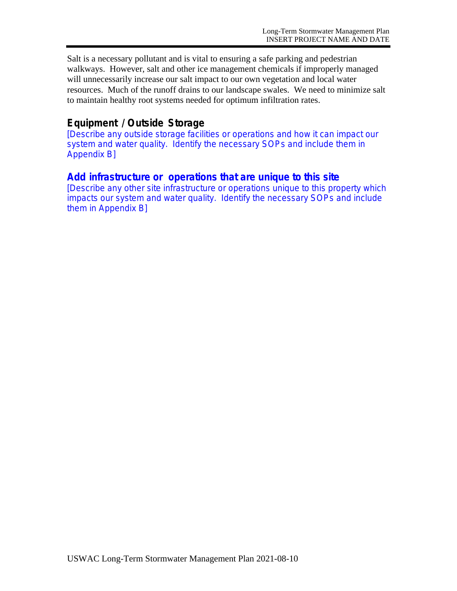Salt is a necessary pollutant and is vital to ensuring a safe parking and pedestrian walkways. However, salt and other ice management chemicals if improperly managed will unnecessarily increase our salt impact to our own vegetation and local water resources. Much of the runoff drains to our landscape swales. We need to minimize salt to maintain healthy root systems needed for optimum infiltration rates.

## **Equipment / Outside Storage**

*[Describe any outside storage facilities or operations and how it can impact our system and water quality. Identify the necessary SOPs and include them in Appendix B]*

## **Add infrastructure or operations that are unique to this site**

[*Describe any other site infrastructure or operations unique to this property which impacts our system and water quality. Identify the necessary SOPs and include them in Appendix B*]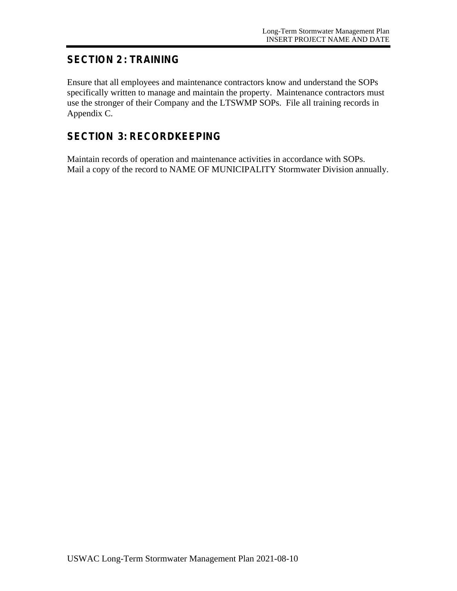## **SECTION 2 : TRAINING**

Ensure that all employees and maintenance contractors know and understand the SOPs specifically written to manage and maintain the property. Maintenance contractors must use the stronger of their Company and the LTSWMP SOPs. File all training records in Appendix C.

## **SECTION 3: RECORDKEEPING**

Maintain records of operation and maintenance activities in accordance with SOPs. Mail a copy of the record to NAME OF MUNICIPALITY Stormwater Division annually.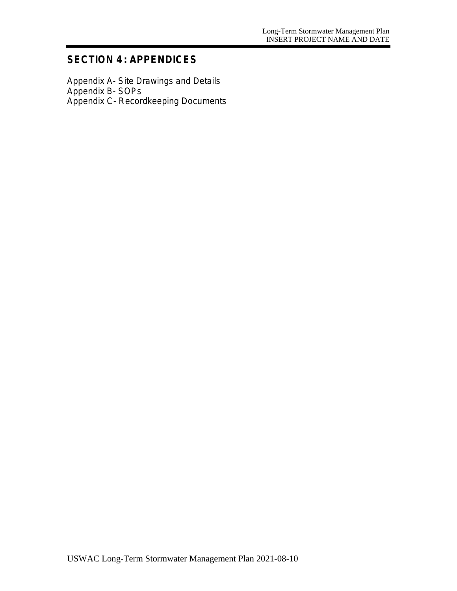## **SECTION 4 : APPENDICES**

Appendix A- Site Drawings and Details Appendix B- SOPs Appendix C- Recordkeeping Documents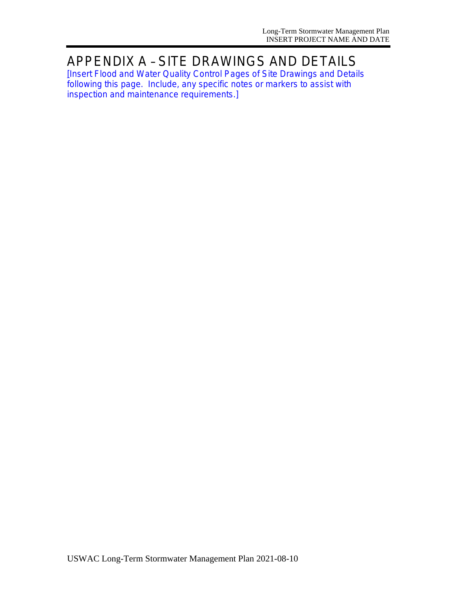# APPENDIX A – SITE DRAWINGS AND DETAILS

*[Insert Flood and Water Quality Control Pages of Site Drawings and Details following this page. Include, any specific notes or markers to assist with inspection and maintenance requirements.]*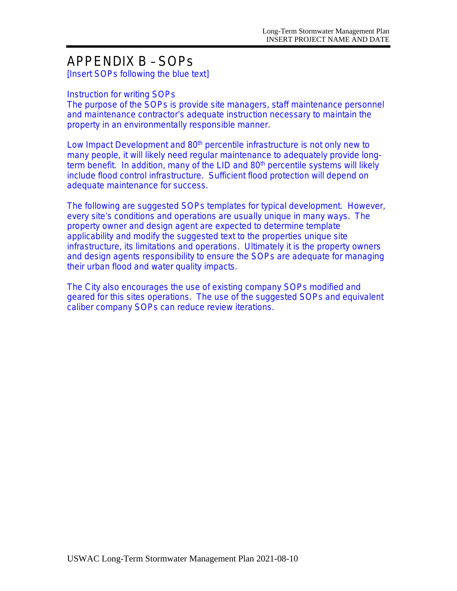# APPENDIX B – SOPs

*[Insert SOPs following the blue text]*

#### *Instruction for writing SOPs*

The purpose of the SOPs is provide site managers, staff maintenance personnel *and maintenance contractor*'*s adequate instruction necessary to maintain the property in an environmentally responsible manner.*

*Low Impact Development and 80th percentile infrastructure is not only new to many people, it will likely need regular maintenance to adequately provide longterm benefit. In addition, many of the LID and 80th percentile systems will likely include flood control infrastructure. Sufficient flood protection will depend on adequate maintenance for success.*

*The following are suggested SOPs templates for typical development. However, every site*'*s conditions and operations are usually unique in many ways. The property owner and design agent are expected to determine template applicability and modify the suggested text to the properties unique site infrastructure, its limitations and operations. Ultimately it is the property owners*  and design agents responsibility to ensure the SOPs are adequate for managing *their urban flood and water quality impacts.*

*The City also encourages the use of existing company SOPs modified and geared for this sites operations. The use of the suggested SOPs and equivalent caliber company SOPs can reduce review iterations.*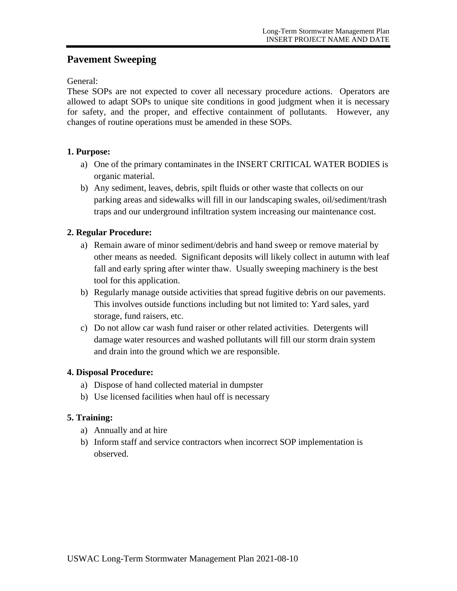## **Pavement Sweeping**

General:

These SOPs are not expected to cover all necessary procedure actions. Operators are allowed to adapt SOPs to unique site conditions in good judgment when it is necessary for safety, and the proper, and effective containment of pollutants. However, any changes of routine operations must be amended in these SOPs.

#### **1. Purpose:**

- a) One of the primary contaminates in the INSERT CRITICAL WATER BODIES is organic material.
- b) Any sediment, leaves, debris, spilt fluids or other waste that collects on our parking areas and sidewalks will fill in our landscaping swales, oil/sediment/trash traps and our underground infiltration system increasing our maintenance cost.

#### **2. Regular Procedure:**

- a) Remain aware of minor sediment/debris and hand sweep or remove material by other means as needed. Significant deposits will likely collect in autumn with leaf fall and early spring after winter thaw. Usually sweeping machinery is the best tool for this application.
- b) Regularly manage outside activities that spread fugitive debris on our pavements. This involves outside functions including but not limited to: Yard sales, yard storage, fund raisers, etc.
- c) Do not allow car wash fund raiser or other related activities. Detergents will damage water resources and washed pollutants will fill our storm drain system and drain into the ground which we are responsible.

#### **4. Disposal Procedure:**

- a) Dispose of hand collected material in dumpster
- b) Use licensed facilities when haul off is necessary

- a) Annually and at hire
- b) Inform staff and service contractors when incorrect SOP implementation is observed.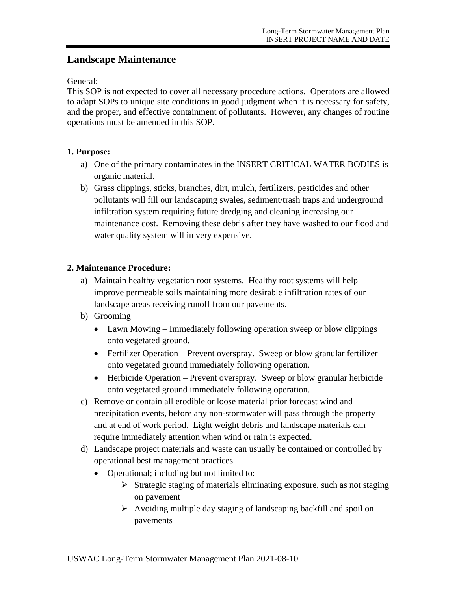## **Landscape Maintenance**

General:

This SOP is not expected to cover all necessary procedure actions. Operators are allowed to adapt SOPs to unique site conditions in good judgment when it is necessary for safety, and the proper, and effective containment of pollutants. However, any changes of routine operations must be amended in this SOP.

#### **1. Purpose:**

- a) One of the primary contaminates in the INSERT CRITICAL WATER BODIES is organic material.
- b) Grass clippings, sticks, branches, dirt, mulch, fertilizers, pesticides and other pollutants will fill our landscaping swales, sediment/trash traps and underground infiltration system requiring future dredging and cleaning increasing our maintenance cost. Removing these debris after they have washed to our flood and water quality system will in very expensive.

#### **2. Maintenance Procedure:**

- a) Maintain healthy vegetation root systems. Healthy root systems will help improve permeable soils maintaining more desirable infiltration rates of our landscape areas receiving runoff from our pavements.
- b) Grooming
	- Lawn Mowing Immediately following operation sweep or blow clippings onto vegetated ground.
	- Fertilizer Operation Prevent overspray. Sweep or blow granular fertilizer onto vegetated ground immediately following operation.
	- Herbicide Operation Prevent overspray. Sweep or blow granular herbicide onto vegetated ground immediately following operation.
- c) Remove or contain all erodible or loose material prior forecast wind and precipitation events, before any non-stormwater will pass through the property and at end of work period. Light weight debris and landscape materials can require immediately attention when wind or rain is expected.
- d) Landscape project materials and waste can usually be contained or controlled by operational best management practices.
	- Operational; including but not limited to:
		- $\triangleright$  Strategic staging of materials eliminating exposure, such as not staging on pavement
		- $\triangleright$  Avoiding multiple day staging of landscaping backfill and spoil on pavements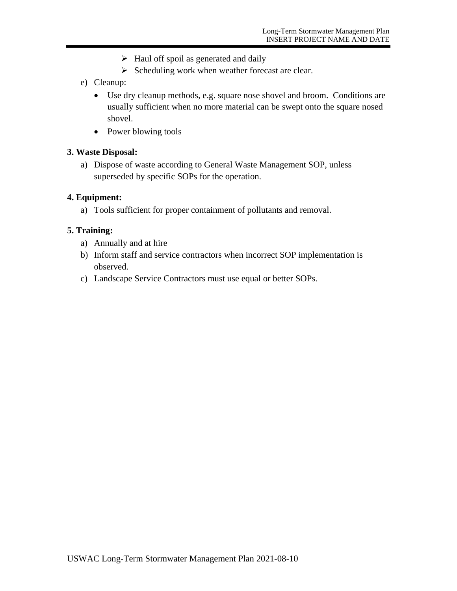- $\triangleright$  Haul off spoil as generated and daily
- $\triangleright$  Scheduling work when weather forecast are clear.
- e) Cleanup:
	- Use dry cleanup methods, e.g. square nose shovel and broom. Conditions are usually sufficient when no more material can be swept onto the square nosed shovel.
	- Power blowing tools

#### **3. Waste Disposal:**

a) Dispose of waste according to General Waste Management SOP, unless superseded by specific SOPs for the operation.

#### **4. Equipment:**

a) Tools sufficient for proper containment of pollutants and removal.

- a) Annually and at hire
- b) Inform staff and service contractors when incorrect SOP implementation is observed.
- c) Landscape Service Contractors must use equal or better SOPs.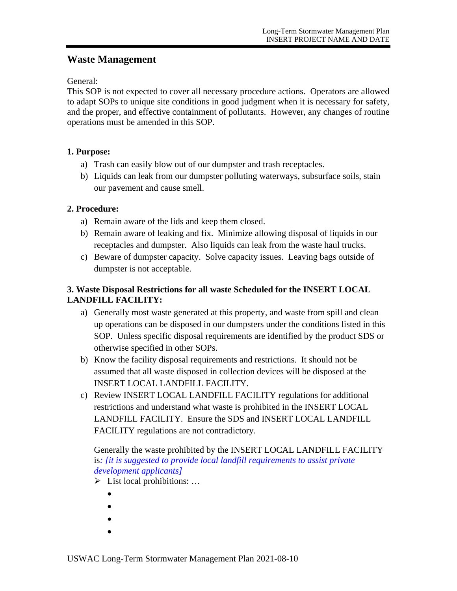## **Waste Management**

General:

This SOP is not expected to cover all necessary procedure actions. Operators are allowed to adapt SOPs to unique site conditions in good judgment when it is necessary for safety, and the proper, and effective containment of pollutants. However, any changes of routine operations must be amended in this SOP.

#### **1. Purpose:**

- a) Trash can easily blow out of our dumpster and trash receptacles.
- b) Liquids can leak from our dumpster polluting waterways, subsurface soils, stain our pavement and cause smell.

#### **2. Procedure:**

- a) Remain aware of the lids and keep them closed.
- b) Remain aware of leaking and fix. Minimize allowing disposal of liquids in our receptacles and dumpster. Also liquids can leak from the waste haul trucks.
- c) Beware of dumpster capacity. Solve capacity issues. Leaving bags outside of dumpster is not acceptable.

#### **3. Waste Disposal Restrictions for all waste Scheduled for the INSERT LOCAL LANDFILL FACILITY:**

- a) Generally most waste generated at this property, and waste from spill and clean up operations can be disposed in our dumpsters under the conditions listed in this SOP. Unless specific disposal requirements are identified by the product SDS or otherwise specified in other SOPs.
- b) Know the facility disposal requirements and restrictions. It should not be assumed that all waste disposed in collection devices will be disposed at the INSERT LOCAL LANDFILL FACILITY.
- c) Review INSERT LOCAL LANDFILL FACILITY regulations for additional restrictions and understand what waste is prohibited in the INSERT LOCAL LANDFILL FACILITY. Ensure the SDS and INSERT LOCAL LANDFILL FACILITY regulations are not contradictory.

#### Generally the waste prohibited by the INSERT LOCAL LANDFILL FACILITY is*: [it is suggested to provide local landfill requirements to assist private development applicants]*

- $\triangleright$  List local prohibitions: ...
	- $\bullet$
	- $\bullet$
	- $\bullet$
	- $\bullet$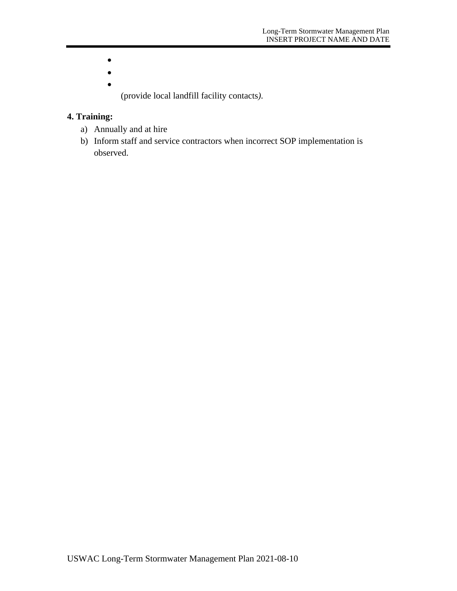- $\bullet$
- $\bullet$
- $\bullet$

(provide local landfill facility contacts*).*

- a) Annually and at hire
- b) Inform staff and service contractors when incorrect SOP implementation is observed.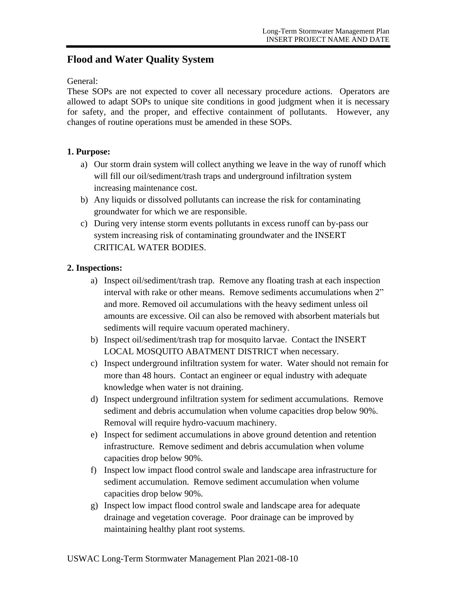## **Flood and Water Quality System**

#### General:

These SOPs are not expected to cover all necessary procedure actions. Operators are allowed to adapt SOPs to unique site conditions in good judgment when it is necessary for safety, and the proper, and effective containment of pollutants. However, any changes of routine operations must be amended in these SOPs.

#### **1. Purpose:**

- a) Our storm drain system will collect anything we leave in the way of runoff which will fill our oil/sediment/trash traps and underground infiltration system increasing maintenance cost.
- b) Any liquids or dissolved pollutants can increase the risk for contaminating groundwater for which we are responsible.
- c) During very intense storm events pollutants in excess runoff can by-pass our system increasing risk of contaminating groundwater and the INSERT CRITICAL WATER BODIES.

#### **2. Inspections:**

- a) Inspect oil/sediment/trash trap. Remove any floating trash at each inspection interval with rake or other means. Remove sediments accumulations when 2" and more. Removed oil accumulations with the heavy sediment unless oil amounts are excessive. Oil can also be removed with absorbent materials but sediments will require vacuum operated machinery.
- b) Inspect oil/sediment/trash trap for mosquito larvae. Contact the INSERT LOCAL MOSQUITO ABATMENT DISTRICT when necessary.
- c) Inspect underground infiltration system for water. Water should not remain for more than 48 hours. Contact an engineer or equal industry with adequate knowledge when water is not draining.
- d) Inspect underground infiltration system for sediment accumulations. Remove sediment and debris accumulation when volume capacities drop below 90%. Removal will require hydro-vacuum machinery.
- e) Inspect for sediment accumulations in above ground detention and retention infrastructure. Remove sediment and debris accumulation when volume capacities drop below 90%.
- f) Inspect low impact flood control swale and landscape area infrastructure for sediment accumulation. Remove sediment accumulation when volume capacities drop below 90%.
- g) Inspect low impact flood control swale and landscape area for adequate drainage and vegetation coverage. Poor drainage can be improved by maintaining healthy plant root systems.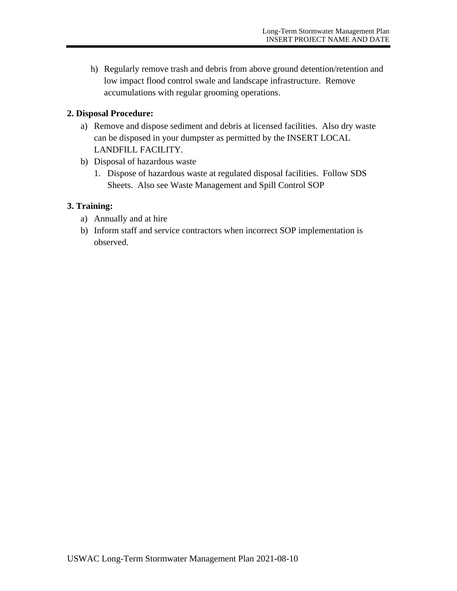h) Regularly remove trash and debris from above ground detention/retention and low impact flood control swale and landscape infrastructure. Remove accumulations with regular grooming operations.

#### **2. Disposal Procedure:**

- a) Remove and dispose sediment and debris at licensed facilities. Also dry waste can be disposed in your dumpster as permitted by the INSERT LOCAL LANDFILL FACILITY.
- b) Disposal of hazardous waste
	- 1. Dispose of hazardous waste at regulated disposal facilities. Follow SDS Sheets. Also see Waste Management and Spill Control SOP

- a) Annually and at hire
- b) Inform staff and service contractors when incorrect SOP implementation is observed.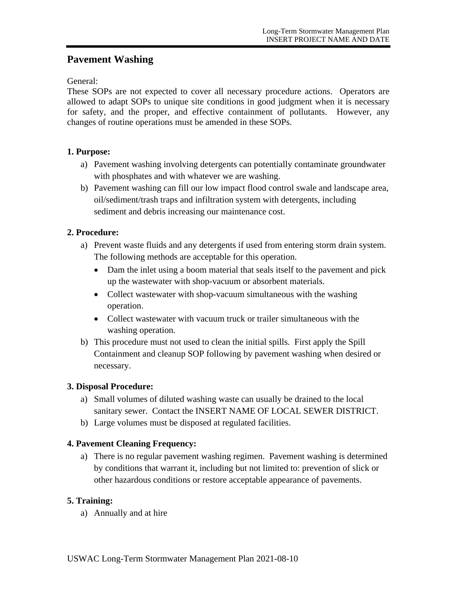## **Pavement Washing**

General:

These SOPs are not expected to cover all necessary procedure actions. Operators are allowed to adapt SOPs to unique site conditions in good judgment when it is necessary for safety, and the proper, and effective containment of pollutants. However, any changes of routine operations must be amended in these SOPs.

#### **1. Purpose:**

- a) Pavement washing involving detergents can potentially contaminate groundwater with phosphates and with whatever we are washing.
- b) Pavement washing can fill our low impact flood control swale and landscape area, oil/sediment/trash traps and infiltration system with detergents, including sediment and debris increasing our maintenance cost.

#### **2. Procedure:**

- a) Prevent waste fluids and any detergents if used from entering storm drain system. The following methods are acceptable for this operation.
	- Dam the inlet using a boom material that seals itself to the pavement and pick up the wastewater with shop-vacuum or absorbent materials.
	- Collect wastewater with shop-vacuum simultaneous with the washing operation.
	- Collect wastewater with vacuum truck or trailer simultaneous with the washing operation.
- b) This procedure must not used to clean the initial spills. First apply the Spill Containment and cleanup SOP following by pavement washing when desired or necessary.

#### **3. Disposal Procedure:**

- a) Small volumes of diluted washing waste can usually be drained to the local sanitary sewer. Contact the INSERT NAME OF LOCAL SEWER DISTRICT.
- b) Large volumes must be disposed at regulated facilities.

#### **4. Pavement Cleaning Frequency:**

a) There is no regular pavement washing regimen. Pavement washing is determined by conditions that warrant it, including but not limited to: prevention of slick or other hazardous conditions or restore acceptable appearance of pavements.

#### **5. Training:**

a) Annually and at hire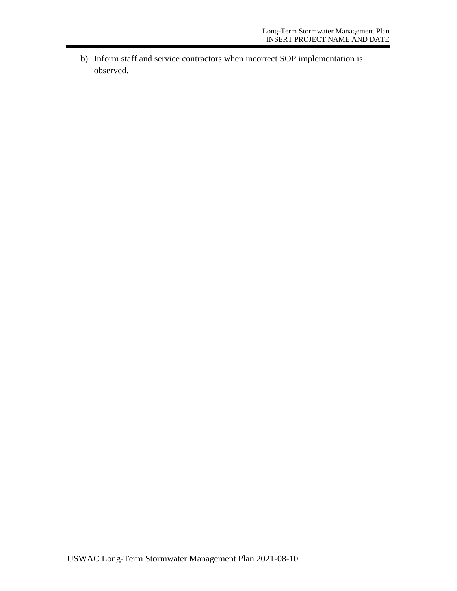b) Inform staff and service contractors when incorrect SOP implementation is observed.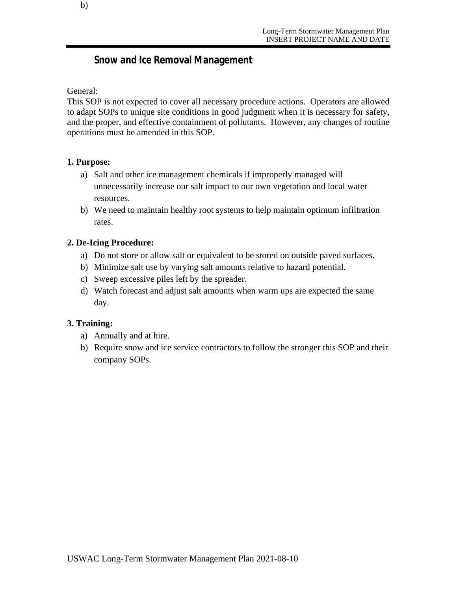## **Snow and Ice Removal Management**

#### General:

This SOP is not expected to cover all necessary procedure actions. Operators are allowed to adapt SOPs to unique site conditions in good judgment when it is necessary for safety, and the proper, and effective containment of pollutants. However, any changes of routine operations must be amended in this SOP.

#### **1. Purpose:**

- a) Salt and other ice management chemicals if improperly managed will unnecessarily increase our salt impact to our own vegetation and local water resources.
- b) We need to maintain healthy root systems to help maintain optimum infiltration rates.

#### **2. De-Icing Procedure:**

- a) Do not store or allow salt or equivalent to be stored on outside paved surfaces.
- b) Minimize salt use by varying salt amounts relative to hazard potential.
- c) Sweep excessive piles left by the spreader.
- d) Watch forecast and adjust salt amounts when warm ups are expected the same day.

- a) Annually and at hire.
- b) Require snow and ice service contractors to follow the stronger this SOP and their company SOPs.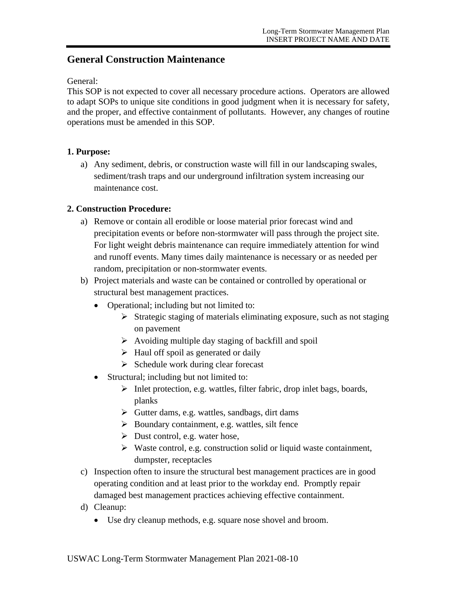### **General Construction Maintenance**

#### General:

This SOP is not expected to cover all necessary procedure actions. Operators are allowed to adapt SOPs to unique site conditions in good judgment when it is necessary for safety, and the proper, and effective containment of pollutants. However, any changes of routine operations must be amended in this SOP.

#### **1. Purpose:**

a) Any sediment, debris, or construction waste will fill in our landscaping swales, sediment/trash traps and our underground infiltration system increasing our maintenance cost.

#### **2. Construction Procedure:**

- a) Remove or contain all erodible or loose material prior forecast wind and precipitation events or before non-stormwater will pass through the project site. For light weight debris maintenance can require immediately attention for wind and runoff events. Many times daily maintenance is necessary or as needed per random, precipitation or non-stormwater events.
- b) Project materials and waste can be contained or controlled by operational or structural best management practices.
	- Operational; including but not limited to:
		- $\triangleright$  Strategic staging of materials eliminating exposure, such as not staging on pavement
		- $\triangleright$  Avoiding multiple day staging of backfill and spoil
		- $\triangleright$  Haul off spoil as generated or daily
		- $\triangleright$  Schedule work during clear forecast
	- Structural; including but not limited to:
		- $\triangleright$  Inlet protection, e.g. wattles, filter fabric, drop inlet bags, boards, planks
		- $\triangleright$  Gutter dams, e.g. wattles, sandbags, dirt dams
		- $\triangleright$  Boundary containment, e.g. wattles, silt fence
		- $\triangleright$  Dust control, e.g. water hose,
		- $\triangleright$  Waste control, e.g. construction solid or liquid waste containment, dumpster, receptacles
- c) Inspection often to insure the structural best management practices are in good operating condition and at least prior to the workday end. Promptly repair damaged best management practices achieving effective containment.
- d) Cleanup:
	- Use dry cleanup methods, e.g. square nose shovel and broom.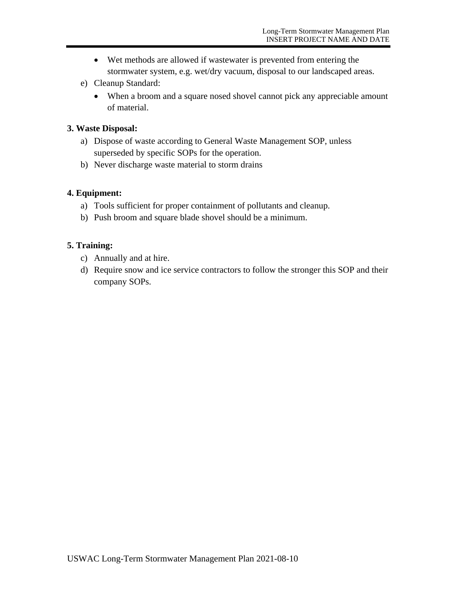- Wet methods are allowed if wastewater is prevented from entering the stormwater system, e.g. wet/dry vacuum, disposal to our landscaped areas.
- e) Cleanup Standard:
	- When a broom and a square nosed shovel cannot pick any appreciable amount of material.

#### **3. Waste Disposal:**

- a) Dispose of waste according to General Waste Management SOP, unless superseded by specific SOPs for the operation.
- b) Never discharge waste material to storm drains

#### **4. Equipment:**

- a) Tools sufficient for proper containment of pollutants and cleanup.
- b) Push broom and square blade shovel should be a minimum.

- c) Annually and at hire.
- d) Require snow and ice service contractors to follow the stronger this SOP and their company SOPs.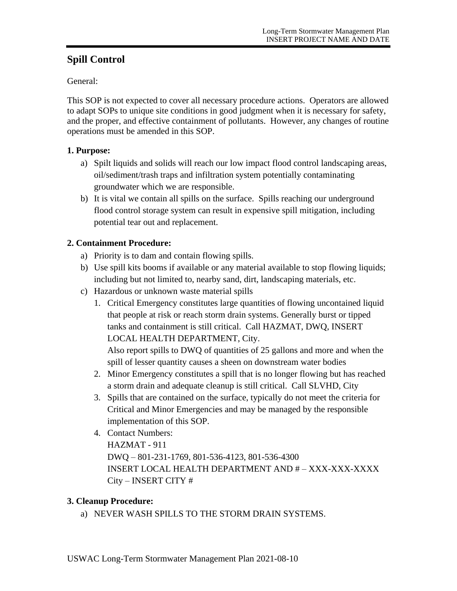## **Spill Control**

General:

This SOP is not expected to cover all necessary procedure actions. Operators are allowed to adapt SOPs to unique site conditions in good judgment when it is necessary for safety, and the proper, and effective containment of pollutants. However, any changes of routine operations must be amended in this SOP.

### **1. Purpose:**

- a) Spilt liquids and solids will reach our low impact flood control landscaping areas, oil/sediment/trash traps and infiltration system potentially contaminating groundwater which we are responsible.
- b) It is vital we contain all spills on the surface. Spills reaching our underground flood control storage system can result in expensive spill mitigation, including potential tear out and replacement.

## **2. Containment Procedure:**

- a) Priority is to dam and contain flowing spills.
- b) Use spill kits booms if available or any material available to stop flowing liquids; including but not limited to, nearby sand, dirt, landscaping materials, etc.
- c) Hazardous or unknown waste material spills
	- 1. Critical Emergency constitutes large quantities of flowing uncontained liquid that people at risk or reach storm drain systems. Generally burst or tipped tanks and containment is still critical. Call HAZMAT, DWQ, INSERT LOCAL HEALTH DEPARTMENT, City.

Also report spills to DWQ of quantities of 25 gallons and more and when the spill of lesser quantity causes a sheen on downstream water bodies

- 2. Minor Emergency constitutes a spill that is no longer flowing but has reached a storm drain and adequate cleanup is still critical. Call SLVHD, City
- 3. Spills that are contained on the surface, typically do not meet the criteria for Critical and Minor Emergencies and may be managed by the responsible implementation of this SOP.
- 4. Contact Numbers: HAZMAT - 911 DWQ – 801-231-1769, 801-536-4123, 801-536-4300 INSERT LOCAL HEALTH DEPARTMENT AND # – XXX-XXX-XXXX City – INSERT CITY #

## **3. Cleanup Procedure:**

a) NEVER WASH SPILLS TO THE STORM DRAIN SYSTEMS.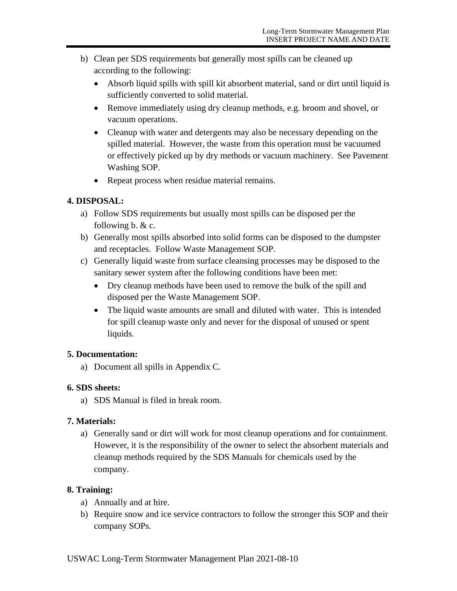- b) Clean per SDS requirements but generally most spills can be cleaned up according to the following:
	- Absorb liquid spills with spill kit absorbent material, sand or dirt until liquid is sufficiently converted to solid material.
	- Remove immediately using dry cleanup methods, e.g. broom and shovel, or vacuum operations.
	- Cleanup with water and detergents may also be necessary depending on the spilled material. However, the waste from this operation must be vacuumed or effectively picked up by dry methods or vacuum machinery. See Pavement Washing SOP.
	- Repeat process when residue material remains.

### **4. DISPOSAL:**

- a) Follow SDS requirements but usually most spills can be disposed per the following b. & c.
- b) Generally most spills absorbed into solid forms can be disposed to the dumpster and receptacles. Follow Waste Management SOP.
- c) Generally liquid waste from surface cleansing processes may be disposed to the sanitary sewer system after the following conditions have been met:
	- Dry cleanup methods have been used to remove the bulk of the spill and disposed per the Waste Management SOP.
	- The liquid waste amounts are small and diluted with water. This is intended for spill cleanup waste only and never for the disposal of unused or spent liquids.

#### **5. Documentation:**

a) Document all spills in Appendix C.

#### **6. SDS sheets:**

a) SDS Manual is filed in break room.

#### **7. Materials:**

a) Generally sand or dirt will work for most cleanup operations and for containment. However, it is the responsibility of the owner to select the absorbent materials and cleanup methods required by the SDS Manuals for chemicals used by the company.

- a) Annually and at hire.
- b) Require snow and ice service contractors to follow the stronger this SOP and their company SOPs.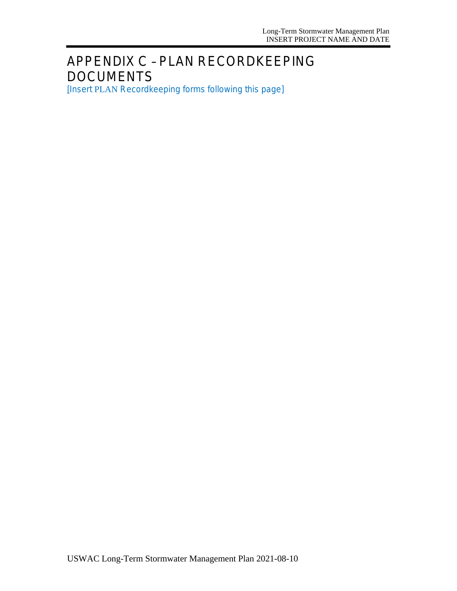# APPENDIX C – PLAN RECORDKEEPING DOCUMENTS

[*Insert* PLAN *Recordkeeping forms following this page*]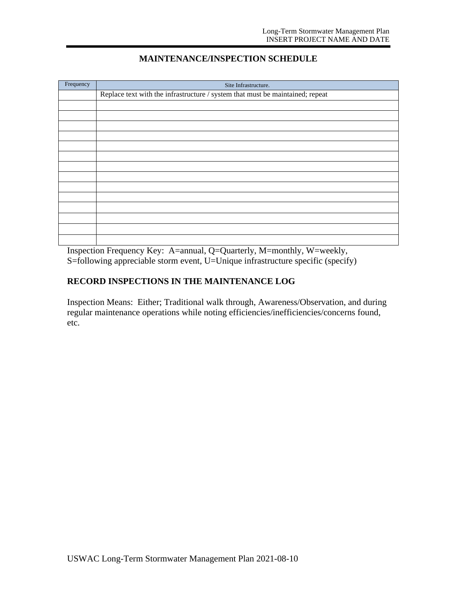#### **MAINTENANCE/INSPECTION SCHEDULE**

| Frequency | Site Infrastructure.                                                          |
|-----------|-------------------------------------------------------------------------------|
|           | Replace text with the infrastructure / system that must be maintained; repeat |
|           |                                                                               |
|           |                                                                               |
|           |                                                                               |
|           |                                                                               |
|           |                                                                               |
|           |                                                                               |
|           |                                                                               |
|           |                                                                               |
|           |                                                                               |
|           |                                                                               |
|           |                                                                               |
|           |                                                                               |
|           |                                                                               |
|           |                                                                               |
|           |                                                                               |

Inspection Frequency Key: A=annual, Q=Quarterly, M=monthly, W=weekly, S=following appreciable storm event, U=Unique infrastructure specific (specify)

#### **RECORD INSPECTIONS IN THE MAINTENANCE LOG**

Inspection Means: Either; Traditional walk through, Awareness/Observation, and during regular maintenance operations while noting efficiencies/inefficiencies/concerns found, etc.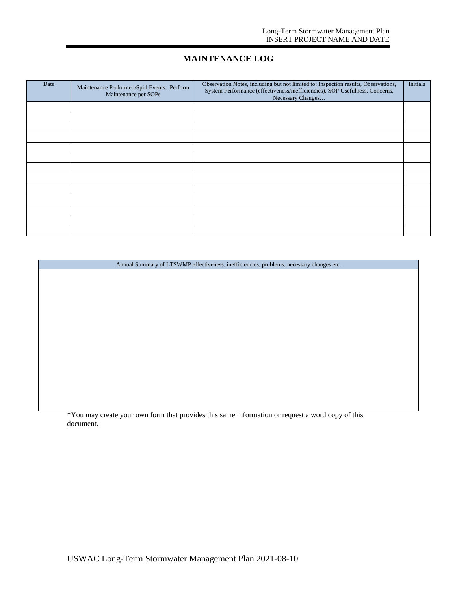#### **MAINTENANCE LOG**

| Date | Maintenance Performed/Spill Events. Perform<br>Maintenance per SOPs | Observation Notes, including but not limited to; Inspection results, Observations,<br>System Performance (effectiveness/inefficiencies), SOP Usefulness, Concerns,<br>Necessary Changes | Initials |
|------|---------------------------------------------------------------------|-----------------------------------------------------------------------------------------------------------------------------------------------------------------------------------------|----------|
|      |                                                                     |                                                                                                                                                                                         |          |
|      |                                                                     |                                                                                                                                                                                         |          |
|      |                                                                     |                                                                                                                                                                                         |          |
|      |                                                                     |                                                                                                                                                                                         |          |
|      |                                                                     |                                                                                                                                                                                         |          |
|      |                                                                     |                                                                                                                                                                                         |          |
|      |                                                                     |                                                                                                                                                                                         |          |
|      |                                                                     |                                                                                                                                                                                         |          |
|      |                                                                     |                                                                                                                                                                                         |          |
|      |                                                                     |                                                                                                                                                                                         |          |
|      |                                                                     |                                                                                                                                                                                         |          |
|      |                                                                     |                                                                                                                                                                                         |          |
|      |                                                                     |                                                                                                                                                                                         |          |

Annual Summary of LTSWMP effectiveness, inefficiencies, problems, necessary changes etc.

\*You may create your own form that provides this same information or request a word copy of this document.